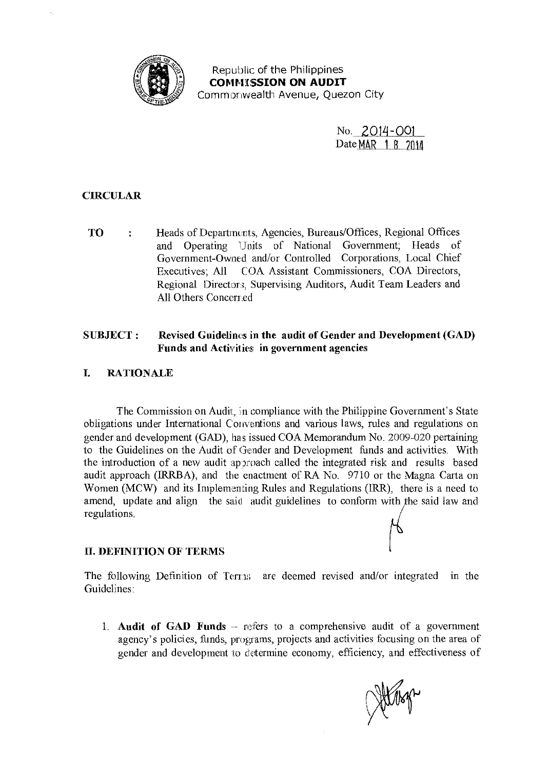

Republic of the Philippines **COMMISSION ON AUDIT** Commonwealth Avenue, Quezon City

> No. 2014-001 Date MAR 1 R 2014

# **CIRCULAR**

Heads of Departments, Agencies, Bureaus/Offices, Regional Offices **TO**  $\ddot{\cdot}$ and Operating Units of National Government; Heads of Government-Owned and/or Controlled Corporations, Local Chief Executives: All COA Assistant Commissioners, COA Directors, Regional Directors, Supervising Auditors, Audit Team Leaders and All Others Concerned

### **SUBJECT:** Revised Guidelines in the audit of Gender and Development (GAD) Funds and Activities in government agencies

#### $\mathbf{I}$ **RATIONALE**

The Commission on Audit, in compliance with the Philippine Government's State obligations under International Conventions and various laws, rules and regulations on gender and development (GAD), has issued COA Memorandum No. 2009-020 pertaining to the Guidelines on the Audit of Gender and Development funds and activities. With the introduction of a new audit approach called the integrated risk and results based audit approach (IRRBA), and the enactment of RA No. 9710 or the Magna Carta on Women (MCW) and its Implementing Rules and Regulations (IRR), there is a need to amend, update and align the said audit guidelines to conform with the said law and regulations.

## **II. DEFINITION OF TERMS**

The following Definition of Terms are deemed revised and/or integrated in the Guidelines:

1. Audit of GAD Funds - refers to a comprehensive audit of a government agency's policies, funds, programs, projects and activities focusing on the area of gender and development to determine economy, efficiency, and effectiveness of

Hitcher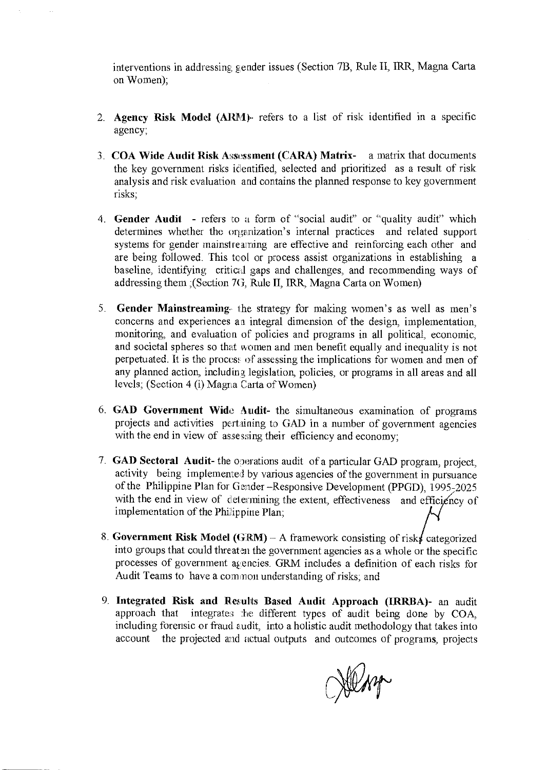interventions in addressing gender issues (Section 7B, Rule II, IRR, Magna Carta on Women);

- 2. Agency Risk Model (ARM) refers to a list of risk identified in a specific agency;
- 3. COA Wide Audit Risk Assessment (CARA) Matrix- a matrix that documents the key government risks identified, selected and prioritized as a result of risk analysis and risk evaluation and contains the planned response to key government risks;
- 4. Gender Audit refers to a form of "social audit" or "quality audit" which determines whether the organization's internal practices and related support systems for gender mainstreaming are effective and reinforcing each other and are being followed. This tool or process assist organizations in establishing a baseline, identifying critical gaps and challenges, and recommending ways of addressing them ;(Section 7G, Rule II, IRR, Magna Carta on Women)
- 5. Gender Mainstreaming the strategy for making women's as well as men's concerns and experiences an integral dimension of the design, implementation, monitoring, and evaluation of policies and programs in all political, economic, and societal spheres so that women and men benefit equally and inequality is not perpetuated. It is the proces: of assessing the implications for women and men of any planned action, including legislation, policies, or programs in all areas and all levels; (Section 4 (i) Magna Carta of Women)
- 6.  $GAD$  Government Wide Audit- the simultaneous examination of programs projects and activities pertaining to GAD in a number of government agencies with the end in view of assessing their efficiency and economy;
- 7. GAD Sectoral Audit- the operations audit of a particular GAD program, project, activity being implemented by various agencies of the government in pursuance of the Philippine Plan for Gender -Responsive Development (PPGD), 1995-2025 with the end in view of determining the extent, effectiveness and efficiency of implementation of the Philippine Plan;
- 8. Government Risk Model (GRM) A framework consisting of risks categorized into groups that could threaten the government agencies as a whole or the specific processes of government agencies. GRM includes a definition of each risks for Audit Teams to have a common understanding of risks; and
- 9. Integrated Risk and Results Based Audit Approach (IRRBA)- an audit approach that integrates the different types of audit being done by COA, including forensic or fraud audit, into a holistic audit methodology that takes into account the projected and actual outputs and outcomes of programs, projects

John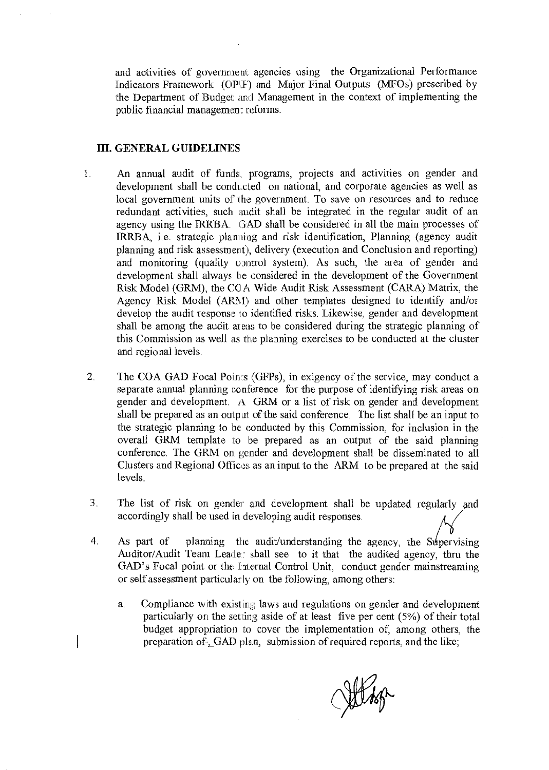and activities of government agencies using the Organizational Performance Indicators Framework (OPF) and Major Final Outputs (MFOs) prescribed by the Department of Budget and Management in the context of implementing the public financial management reforms.

### **III. GENERAL GUIDELINES**

- An annual audit of funds, programs, projects and activities on gender and  $\mathbf{1}$ . development shall be conducted on national, and corporate agencies as well as local government units of the government. To save on resources and to reduce redundant activities, such audit shall be integrated in the regular audit of an agency using the IRRBA. GAD shall be considered in all the main processes of IRRBA, i.e. strategic planning and risk identification, Planning (agency audit planning and risk assessment), delivery (execution and Conclusion and reporting) and monitoring (quality control system). As such, the area of gender and development shall always be considered in the development of the Government Risk Model (GRM), the COA Wide Audit Risk Assessment (CARA) Matrix, the Agency Risk Model (ARM) and other templates designed to identify and/or develop the audit response to identified risks. Likewise, gender and development shall be among the audit areas to be considered during the strategic planning of this Commission as well as the planning exercises to be conducted at the cluster and regional levels.
- $\overline{2}$ . The COA GAD Focal Points (GFPs), in exigency of the service, may conduct a separate annual planning conference for the purpose of identifying risk areas on gender and development. A GRM or a list of risk on gender and development shall be prepared as an output of the said conference. The list shall be an input to the strategic planning to be conducted by this Commission, for inclusion in the overall GRM template to be prepared as an output of the said planning conference. The GRM on gender and development shall be disseminated to all Clusters and Regional Offices as an input to the ARM to be prepared at the said levels.
- 3. The list of risk on gender and development shall be updated regularly and accordingly shall be used in developing audit responses.
- $4.$ As part of planning the audit/understanding the agency, the Supervising Auditor/Audit Team Leader shall see to it that the audited agency, thru the GAD's Focal point or the Internal Control Unit, conduct gender mainstreaming or self assessment particularly on the following, among others:
	- Compliance with existing laws and regulations on gender and development  $\mathbf{a}$ . particularly on the setting aside of at least five per cent (5%) of their total budget appropriation to cover the implementation of, among others, the preparation of  $_{\sim}$ GAD plan, submission of required reports, and the like;

Julis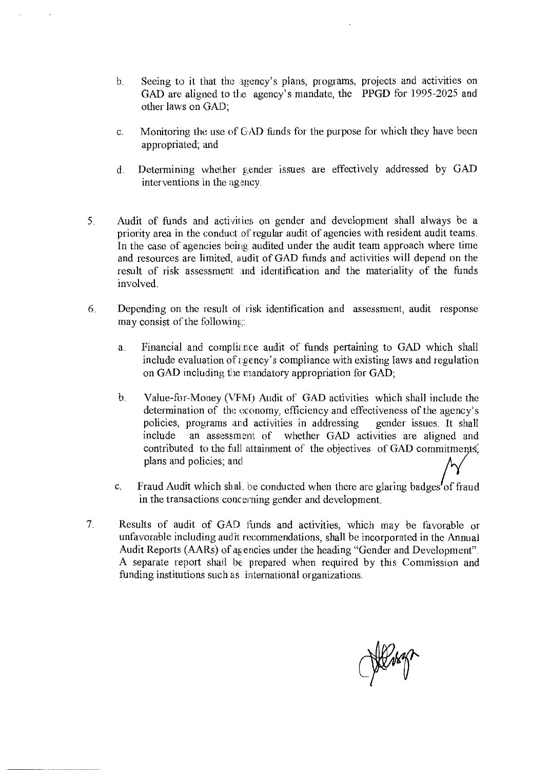- b. Seeing to it that the agency's plans, programs, projects and activities on GAD are aligned to the agency's mandate, the PPGD for 1995-2025 and other laws on GAD;
- c. Monitoring the use cf CAD funds for the purpose for which they have been appropriated; and
- d. Determining whether gender issues are effectively addressed by GAD interventions in the agency.
- 5. Audit of funds and activities on gender and development shall always be a priority area in the conduct of regular audit of agencies with resident audit teams. In the case of ageneies being, audited under the audit team approach where time and resources are limited, audit of GAD funds and activities will depend on the result of risk assessment and identification and the materiality of the funds involved.
- 6. Depending on the result ol · risk identification and assessment, audit response may consist of the following:
	- a. Financial and compliance audit of funds pertaining to GAD which shall include evaluation of  $\varepsilon$  gency's compliance with existing laws and regulation on GAD including the mandatory appropriation for GAD;
	- b. Value-for-Money (VFM) Audit of GAD activities which shall include the determination of the economy, efficiency and effectiveness of the agency's policies, programs and activities in addressing gender issues. It shall include an assessment of whether GAD activities are aligned and contributed to the full attainment of the objectives of GAD commitments, plans and policies; and contributed to the full attainment of the objectives of GAD commitments,<br>plans and policies; and<br>Fraud Audit which shal. be conducted when there are glaring badges of fraud
	- c. in the transactions conceming gender and development
- 7. Results of audit of GAD funds and activities, which may be favorable or unfavorable including audit recommendations, shall be incorporated in the Annual Audit Reports (AARs) of agencies under the heading "Gender and Development". A separate report shall be prepared when required by this Commission and funding institutions such as international organizations.

Wert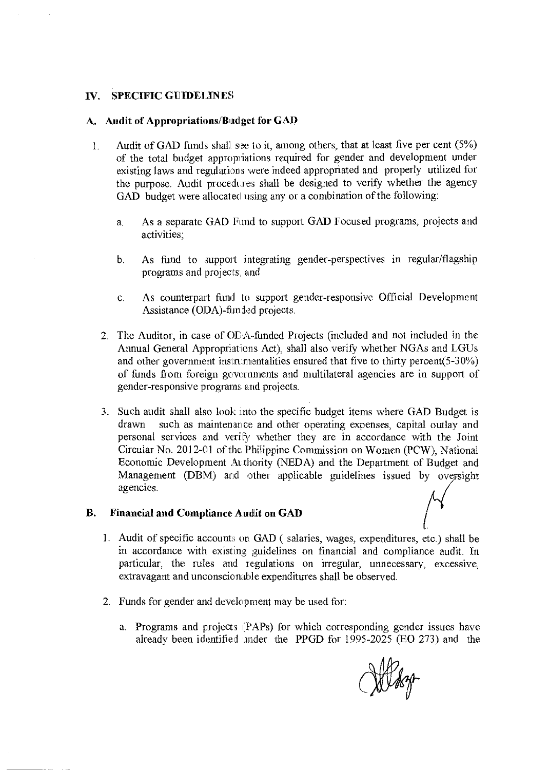### IV. SPECIFIC GUIDELINES

### A. Audit of Appropriations/Budget for GAD

- 1. Audit of GAD funds shall see to it, among others, that at least five per cent  $(5%)$ of the total budget appropriations required for gender and development under existing laws and regulations were indeed appropriated and properly utilized for the purpose. Audit procedures shall be designed to verify whether the agency GAD budget were allocated using any or a combination of the following:
	- a. As a separate GAD Fund to support GAD Focused programs, projects and activities;
	- b. As fund to support integrating gender-perspectives in regular/flagship programs and projects; and
	- c. As counterpart fund to support gender-responsive Official Development Assistance (ODA)-fim ded projects.
	- 2. The Auditor, in case of ODA.funded Projects (included and not included in the Annual General Appropriations Act), shall also verify whether NGAs and LGUs and other government instrumentalities ensured that five to thirty percent(5-30%) of funds from foreign govurnments and multilateral agencies are in support of gender-responsive programs and projects.
	- 3. Such audit shall also look into the specific budget items where GAD Budget is drawn such as maintenance and other operating expenses, capital outlay and personal services and verify whether they are in accordance with the Joint Circular No. 2012-01 of the Philippine Commission on Women (PCW), National Economic Development Authority (NEDA) and the Department of Budget and Management (DBM) and other applicable guidelines issued by oversight agencies.

#### B. Financial and Compliance Audit on GAD

- 1. Audit of specific accounts on  $GAD$  (salaries, wages, expenditures, etc.) shall be in accordance with existing guidelines on financial and compliance audit. In particular, the rules and regulations on irregular, unnecessary, excessive, extravagant and unconscionable expenditures shall be observed.
- 2. Funds for gender and development may be used for:
	- a. Programs and projects 1YAPs) for which corresponding gender issues have already been identified mder the PPGD for 1995-2025 (EO 273) and the

Why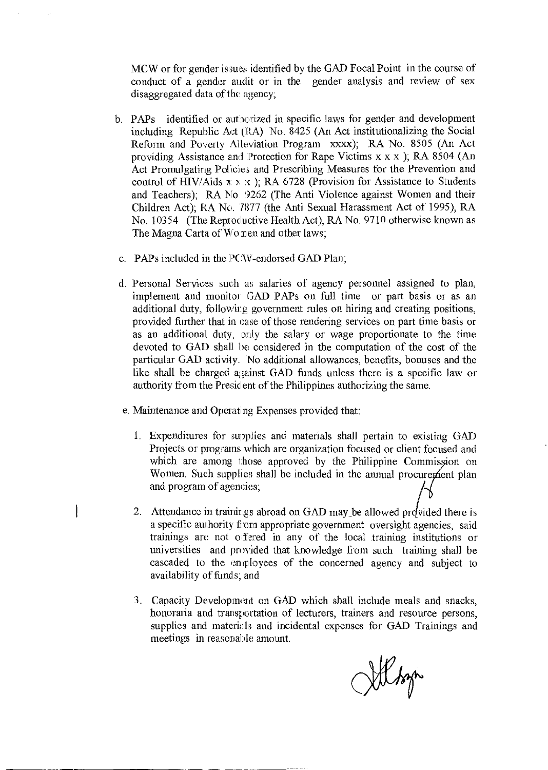MCW or for gender issues identified by the GAD Focal Point in the course of conduct of a gender audit or in the gender analysis and review of sex disaggregated data of the agency;

- b. PAPs identified or authorized in specific laws for gender and development including Republic Act (RA) No. 8425 (An Act institutionalizing the Social Reform and Poverty Alleviation Program xxxx); RA No. 8505 (An Act providing Assistance and Protection for Rape Victims x x x ); RA 8504 (An Act Promulgating Policies and Prescribing Measures for the Prevention and control of HIV/Aids  $x \times x$ ); RA 6728 (Provision for Assistance to Students and Teachers); RA No. 9262 (The Anti Violence against Women and their Children Act); RA No. 7877 (the Anti Sexual Harassment Act of 1995), RA No. 10354 (The Reproductive Health Act), RA No. 9710 otherwise known as The Magna Carta of Wo nen and other laws;
- c. PAPs included in the PC W -endorsed GAD Plan;
- d. Personal Services such m: salaries of agency personnel assigned to plan, implement and monitor GAD PAPs on full time or part basis or as an additional duty, followir.g government rules on hiring and creating positions, provided further that in case of those rendering services on part time basis or as an additional duty, only the salary or wage proportionate to the time devoted to GAD shall be considered in the computation of the cost of the particular GAD activity. No additional allowances, benefits, bonuses and the like shall be charged against GAD funds unless there is a specific law or authority from the President of the Philippines authorizing the same.
- e. Maintenance and Operating Expenses provided that:
	- 1. Expenditures for supplies and materials shall pertain to existing GAD Projects or programs which are organization focused or client focused and which are among those approved by the Philippine Commission on Women. Such supplies shall be included in the annual procurement plan and program of agencies;
	- 2. Attendance in trainings abroad on GAD may be allowed provided there is a specific authority from appropriate government oversight agencies, said trainings are not offered in any of the local training institutions or universities and provided that knowledge from such training shall be cascaded to the employees of the concerned agency and subject to availability of funds; and
	- 3. Capacity Development on GAD which shall include meals and snacks, honoratia and transportation of lecturers, trainers and resource persons, supplies and materials and incidental expenses for GAD Trainings and meetings in reasonable amount.

Morg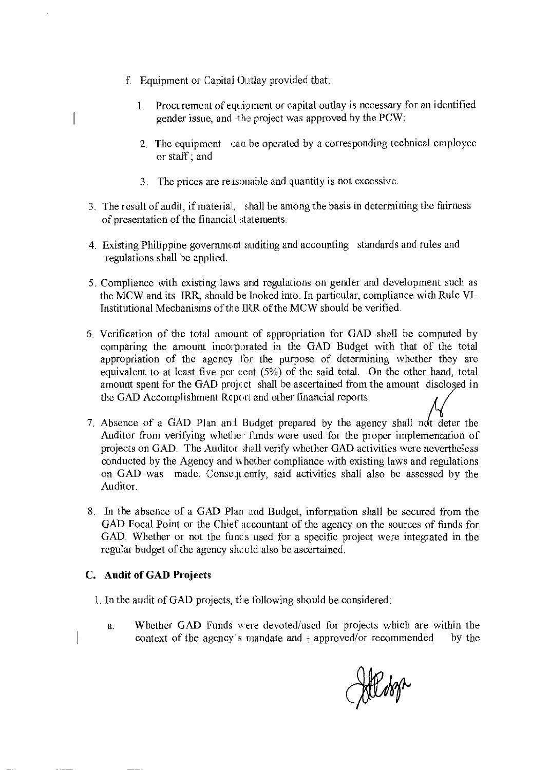- f. Equipment or Capital Outlay provided that:
	- 1. Procurement of equipment or capital outlay is necessary for an identified gender issue, and -the project was approved by the PCW;
	- 2. The equipment can be operated by a corresponding technical employee or staff; and
	- 3. The prices are reasonable and quantity is not excessive.
- 3. The result of audit, if material, shall be among the basis in determining the fairness of presentation of the financial statements.
- 4. Existing Philippine government auditing and accounting standards and rules and regulations shall be applied.
- 5. Compliance with existing laws and regulations on gender and development such as the MCW and its IRR, should be !looked into. In particular, compliance with Rule VI-Institutional Mechanisms of the IRR of the MCW should be verified.
- 6. Verification of the total amount of appropriation for GAD shall be computed by comparing the amount incorporated in the GAD Budget with that of the total appropriation of the agency for the purpose of determining whether they are equivalent to at least five per cent (5%) of the said total. On the other hand, total amount spent for the GAD project shall be ascertained from the amount disclosed in the GAD Accomplishment Report and other financial reports.
- 7. Absence of a GAD Plan and Budget prepared by the agency shall not deter the Auditor from verifying whether funds were used for the proper implementation of projects on GAD. The Auditor shall verify whether GAD activities were nevertheless conducted by the Agency and whether compliance with existing laws and regulations on GAD was made. Consequently, said activities shall also be assessed by the Auditor.
- 8. In the absence of a GAD Plan and Budget, information shall be secured from the GAD Focal Point or the Chief accountant of the agency on the sources of funds for GAD. Whether or not the funcs used for a specific project were integrated in the regular budget of the agency shculd also be ascertained.

### **C. Audit of GAD Projects**

- 1. In the audit of GAD projects, the following should be considered:
	- a. Whether GAD Funds were devoted/used for projects which are within the context of the agency's mandate and  $\frac{1}{2}$  approved/or recommended by the

Hilder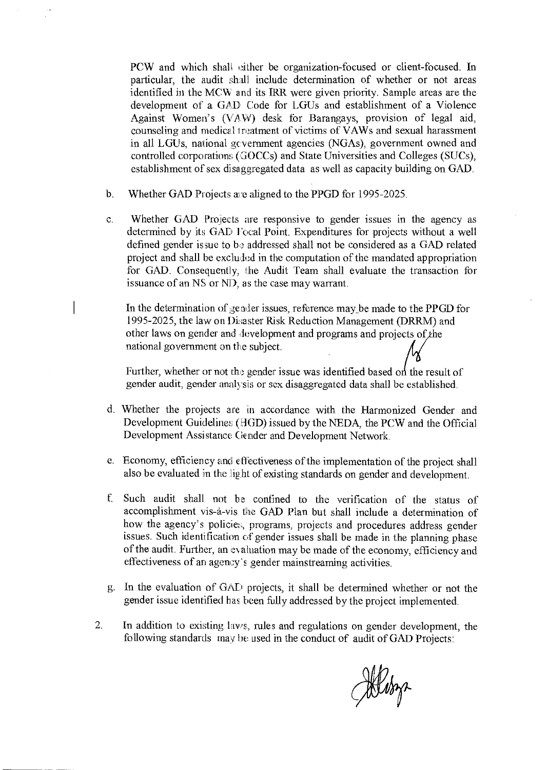PCW and which shall either be organization-focused or client-focused. In particular, the audit shall include determination of whether or not areas identified in the MCW and its IRR were given priority. Sample areas are the development of a GAD Code for LGUs and establishment of a Violence Against Women's (VAW) desk for Barangays, provision of legal aid, counseling and medical treatment of victims of VAWs and sexual harassment in all LGUs, national gcvernment agencies (NGAs), government owned and controlled corporations (GOCCs) and State Universities and Colleges (SUCs), establishment of sex disaggregated data as well as capacity building on GAD.

- b. Whether GAD Projects are aligned to the PPGD for 1995-2025.
- c. Whether GAD Projects are responsive to gender issues in the agency as determined by its GAD  $\Gamma$  ocal Point. Expenditures for projects without a well defined gender issue to be addressed shall not be considered as a GAD related project and shall be excluded in the computation of the mandated appropriation for GAD. Consequently, the Audit Team shall evaluate the transaction for issuance of an NS or ND, as the case may warrant.

In the determination of gender issues, reference may be made to the PPGD for 1995-2025, the law on Disaster Risk Reduction Management (DRRM) and other laws on gender and development and programs and projects of the national government on the subject.

Further, whether or not the gender issue was identified based on the result of gender audit, gender analysis or sex disaggregatcd data shall be established.

- d. Whether the projects are in accordance with the Harmonized Gender and Development Guidelines (HGD) issued by the NEDA, the PCW and the Official Development Assistance Gender and Development Network.
- e. Economy, efficiency and effectiveness of the implementation of the project shall also be evaluated in the light of existing standards on gender and development.
- f. Such audit shall not be confined to the verification of the status of accomplishment vis-à-vis the GAD Plan but shall include a determination of how the agency's policies, programs, projects and procedures address gender issues. Such identification of gender issues shall be made in the planning phase of the audit. Further, an evaluation may be made of the economy, efficiency and effectiveness of an agency's gender mainstreaming activities.
- g. In the evaluation of GAI1 projects, it shall be determined whether or not the gender issue identified has heen fully addressed by the project implemented.
- 2. In addition to existing laws, rules and regulations on gender development, the following standards may be used in the conduct of audit of GAD Projects:

Miling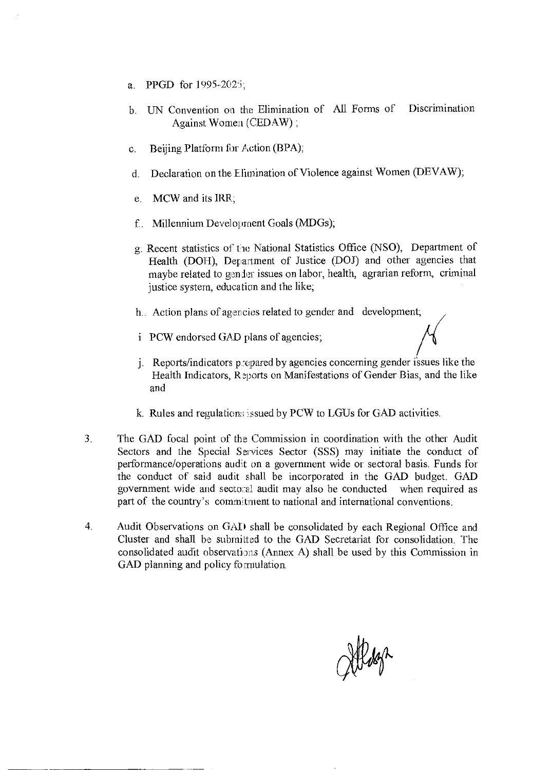- a. PPGD for 1995-2025;
- b. UN Convention on the Elimination of All Forms of Discrimination Against Women (CEDAW);
- c. Beijing Platform for Action (BPA);
- d. Declaration on the Elimination of Violence against Women (DEVAW);
- e. MCW and its IRR;
- f. Millennium Development Goals (MDGs);
- g. Recent statistics of the National Statistics Office (NSO), Department of Health (DOH), Department of Justice (DOJ) and other agencies that maybe related to gender issues on labor, health, agrarian reform, criminal justice system, education and the like;
- h.. Action plans of agencies related to gender and development;
- i PCW endorsed GAD plans of agencies;
- i. Reports/indicators prepared by agencies concerning gender issues like the Health Indicators, Reports on Manifestations of Gender Bias, and the like and
- k. Rules and regulations issued by PCW to LGUs for GAD activities.
- 3. The GAD focal point of the Commission in coordination with the other Audit Sectors and the Special Services Sector (SSS) may initiate the conduct of performance/operations audit on a government wide or sectoral basis. Funds for the conduct of said audit shall be incorporated in the GAD budget. GAD government wide and sectoral audit may also be conducted when required as part of the country's comm tment to national and international conventions.
- 4. Audit Observations on GAD shall be consolidated by each Regional Office and Cluster and shall be submitted to the GAD Secretariat for consolidation. The consolidated audit observations (Annex A) shall be used by this Commission in GAD planning and policy formulation.

Meson